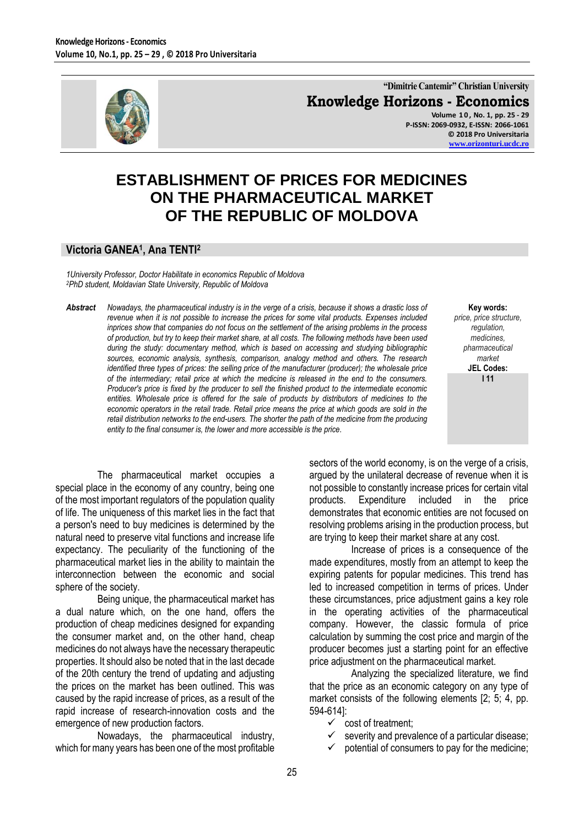

**"Dimitrie Cantemir" Christian University Knowledge Horizons - Economics Volume 1 0 , No. 1, pp. 25 - 29**

**P-ISSN: 2069-0932, E-ISSN: 2066-1061 © 2018 Pro Universitaria [www.orizonturi.ucdc.ro](http://www.orizonturi.ucdc.ro/)**

## **ESTABLISHMENT OF PRICES FOR MEDICINES ON THE PHARMACEUTICAL MARKET OF THE REPUBLIC OF MOLDOVA**

## **Victoria GANEA<sup>1</sup> , Ana TENTI<sup>2</sup>**

*1University Professor, Doctor Habilitate in economics Republic of Moldova <sup>2</sup>PhD student, Moldavian State University, Republic of Moldova*

*Abstract Nowadays, the pharmaceutical industry is in the verge of a crisis, because it shows a drastic loss of revenue when it is not possible to increase the prices for some vital products. Expenses included inprices show that companies do not focus on the settlement of the arising problems in the process of production, but try to keep their market share, at all costs. The following methods have been used during the study: documentary method, which is based on accessing and studying bibliographic sources, economic analysis, synthesis, comparison, analogy method and others. The research identified three types of prices: the selling price of the manufacturer (producer); the wholesale price of the intermediary; retail price at which the medicine is released in the end to the consumers. Producer's price is fixed by the producer to sell the finished product to the intermediate economic entities. Wholesale price is offered for the sale of products by distributors of medicines to the economic operators in the retail trade. Retail price means the price at which goods are sold in the retail distribution networks to the end-users. The shorter the path of the medicine from the producing entity to the final consumer is, the lower and more accessible is the price.*

**Key words:** *price, price structure, regulation, medicines, pharmaceutical market* **JEL Codes: I 11**

The pharmaceutical market occupies a special place in the economy of any country, being one of the most important regulators of the population quality of life. The uniqueness of this market lies in the fact that a person's need to buy medicines is determined by the natural need to preserve vital functions and increase life expectancy. The peculiarity of the functioning of the pharmaceutical market lies in the ability to maintain the interconnection between the economic and social sphere of the society.

Being unique, the pharmaceutical market has a dual nature which, on the one hand, offers the production of cheap medicines designed for expanding the consumer market and, on the other hand, cheap medicines do not always have the necessary therapeutic properties. It should also be noted that in the last decade of the 20th century the trend of updating and adjusting the prices on the market has been outlined. This was caused by the rapid increase of prices, as a result of the rapid increase of research-innovation costs and the emergence of new production factors.

Nowadays, the pharmaceutical industry, which for many years has been one of the most profitable sectors of the world economy, is on the verge of a crisis, argued by the unilateral decrease of revenue when it is not possible to constantly increase prices for certain vital products. Expenditure included in the price demonstrates that economic entities are not focused on resolving problems arising in the production process, but are trying to keep their market share at any cost.

Increase of prices is a consequence of the made expenditures, mostly from an attempt to keep the expiring patents for popular medicines. This trend has led to increased competition in terms of prices. Under these circumstances, price adjustment gains a key role in the operating activities of the pharmaceutical company. However, the classic formula of price calculation by summing the cost price and margin of the producer becomes just a starting point for an effective price adjustment on the pharmaceutical market.

Analyzing the specialized literature, we find that the price as an economic category on any type of market consists of the following elements [2; 5; 4, pp. 594-614]:

- $\checkmark$  cost of treatment;
- $\checkmark$  severity and prevalence of a particular disease;
- $\checkmark$  potential of consumers to pay for the medicine;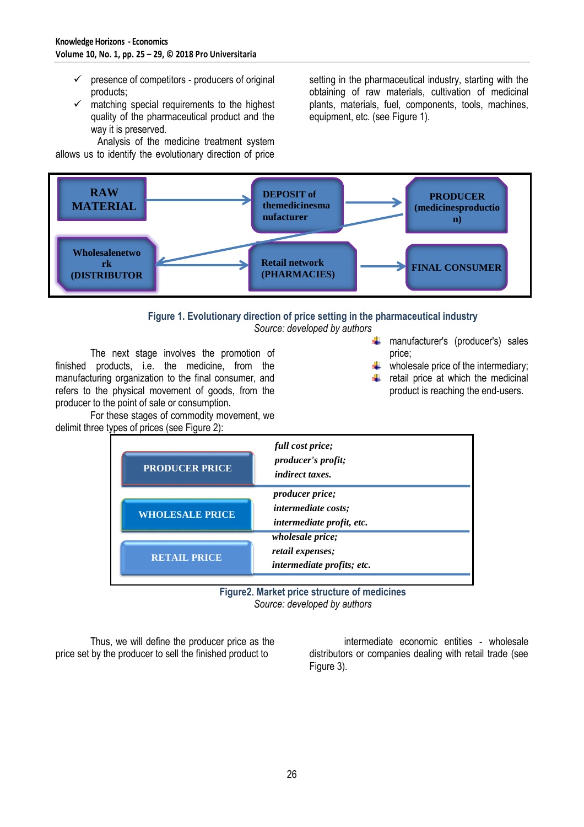- $\checkmark$  presence of competitors producers of original products;
- $\checkmark$  matching special requirements to the highest quality of the pharmaceutical product and the way it is preserved.

Analysis of the medicine treatment system allows us to identify the evolutionary direction of price

setting in the pharmaceutical industry, starting with the obtaining of raw materials, cultivation of medicinal plants, materials, fuel, components, tools, machines, equipment, etc. (see Figure 1).



## **Figure 1. Evolutionary direction of price setting in the pharmaceutical industry**

*Source: developed by authors*

The next stage involves the promotion of finished products, i.e. the medicine, from the manufacturing organization to the final consumer, and refers to the physical movement of goods, from the producer to the point of sale or consumption.

For these stages of commodity movement, we delimit three types of prices (see Figure 2):

- **+** manufacturer's (producer's) sales price;
- wholesale price of the intermediary;
- retail price at which the medicinal product is reaching the end-users.

| <b>PRODUCER PRICE</b>  | full cost price;<br>producer's profit;<br><i>indirect taxes.</i>                  |
|------------------------|-----------------------------------------------------------------------------------|
| <b>WHOLESALE PRICE</b> | <i>producer price;</i><br><i>intermediate costs;</i><br>intermediate profit, etc. |
| <b>RETAIL PRICE</b>    | wholesale price;<br>retail expenses;<br><i>intermediate profits; etc.</i>         |

**Figure2. Market price structure of medicines** *Source: developed by authors*

Thus, we will define the producer price as the price set by the producer to sell the finished product to

intermediate economic entities - wholesale distributors or companies dealing with retail trade (see Figure 3).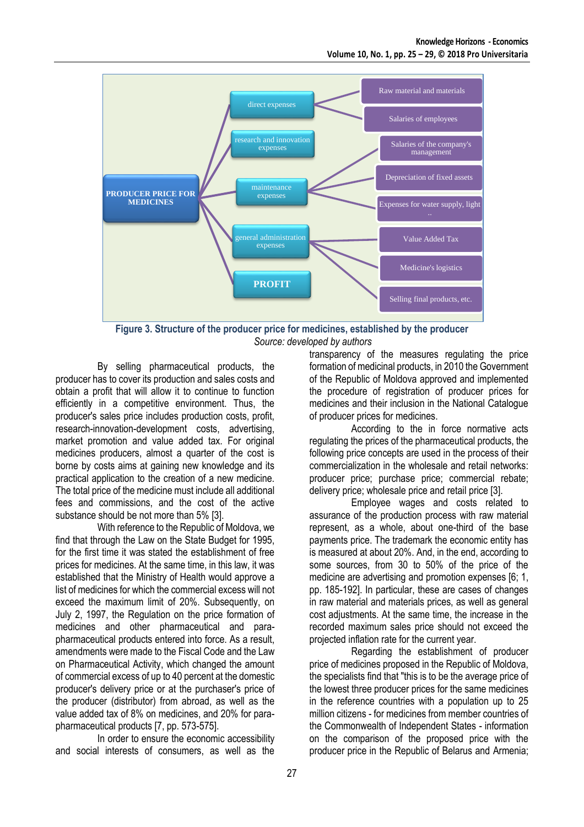

**Figure 3. Structure of the producer price for medicines, established by the producer** *Source: developed by authors*

By selling pharmaceutical products, the producer has to cover its production and sales costs and obtain a profit that will allow it to continue to function efficiently in a competitive environment. Thus, the producer's sales price includes production costs, profit, research-innovation-development costs, advertising, market promotion and value added tax. For original medicines producers, almost a quarter of the cost is borne by costs aims at gaining new knowledge and its practical application to the creation of a new medicine. The total price of the medicine must include all additional fees and commissions, and the cost of the active substance should be not more than 5% [3].

With reference to the Republic of Moldova, we find that through the Law on the State Budget for 1995, for the first time it was stated the establishment of free prices for medicines. At the same time, in this law, it was established that the Ministry of Health would approve a list of medicines for which the commercial excess will not exceed the maximum limit of 20%. Subsequently, on July 2, 1997, the Regulation on the price formation of medicines and other pharmaceutical and parapharmaceutical products entered into force. As a result, amendments were made to the Fiscal Code and the Law on Pharmaceutical Activity, which changed the amount of commercial excess of up to 40 percent at the domestic producer's delivery price or at the purchaser's price of the producer (distributor) from abroad, as well as the value added tax of 8% on medicines, and 20% for parapharmaceutical products [7, pp. 573-575].

In order to ensure the economic accessibility and social interests of consumers, as well as the transparency of the measures regulating the price formation of medicinal products, in 2010 the Government of the Republic of Moldova approved and implemented the procedure of registration of producer prices for medicines and their inclusion in the National Catalogue of producer prices for medicines.

According to the in force normative acts regulating the prices of the pharmaceutical products, the following price concepts are used in the process of their commercialization in the wholesale and retail networks: producer price; purchase price; commercial rebate; delivery price; wholesale price and retail price [3].

Employee wages and costs related to assurance of the production process with raw material represent, as a whole, about one-third of the base payments price. The trademark the economic entity has is measured at about 20%. And, in the end, according to some sources, from 30 to 50% of the price of the medicine are advertising and promotion expenses [6; 1, pp. 185-192]. In particular, these are cases of changes in raw material and materials prices, as well as general cost adjustments. At the same time, the increase in the recorded maximum sales price should not exceed the projected inflation rate for the current year.

Regarding the establishment of producer price of medicines proposed in the Republic of Moldova, the specialists find that "this is to be the average price of the lowest three producer prices for the same medicines in the reference countries with a population up to 25 million citizens - for medicines from member countries of the Commonwealth of Independent States - information on the comparison of the proposed price with the producer price in the Republic of Belarus and Armenia;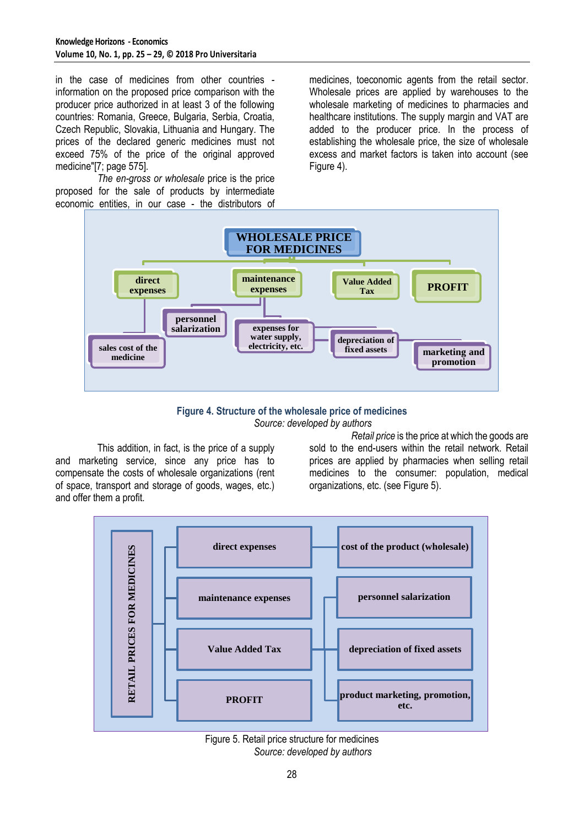in the case of medicines from other countries information on the proposed price comparison with the producer price authorized in at least 3 of the following countries: Romania, Greece, Bulgaria, Serbia, Croatia, Czech Republic, Slovakia, Lithuania and Hungary. The prices of the declared generic medicines must not exceed 75% of the price of the original approved medicine"[7; page 575].

*The en-gross or wholesale* price is the price proposed for the sale of products by intermediate economic entities, in our case - the distributors of medicines, toeconomic agents from the retail sector. Wholesale prices are applied by warehouses to the wholesale marketing of medicines to pharmacies and healthcare institutions. The supply margin and VAT are added to the producer price. In the process of establishing the wholesale price, the size of wholesale excess and market factors is taken into account (see Figure 4).



**Figure 4. Structure of the wholesale price of medicines** *Source: developed by authors*

This addition, in fact, is the price of a supply and marketing service, since any price has to compensate the costs of wholesale organizations (rent of space, transport and storage of goods, wages, etc.) and offer them a profit.

*Retail price* is the price at which the goods are sold to the end-users within the retail network. Retail prices are applied by pharmacies when selling retail medicines to the consumer: population, medical organizations, etc. (see Figure 5).



Figure 5. Retail price structure for medicines *Source: developed by authors*